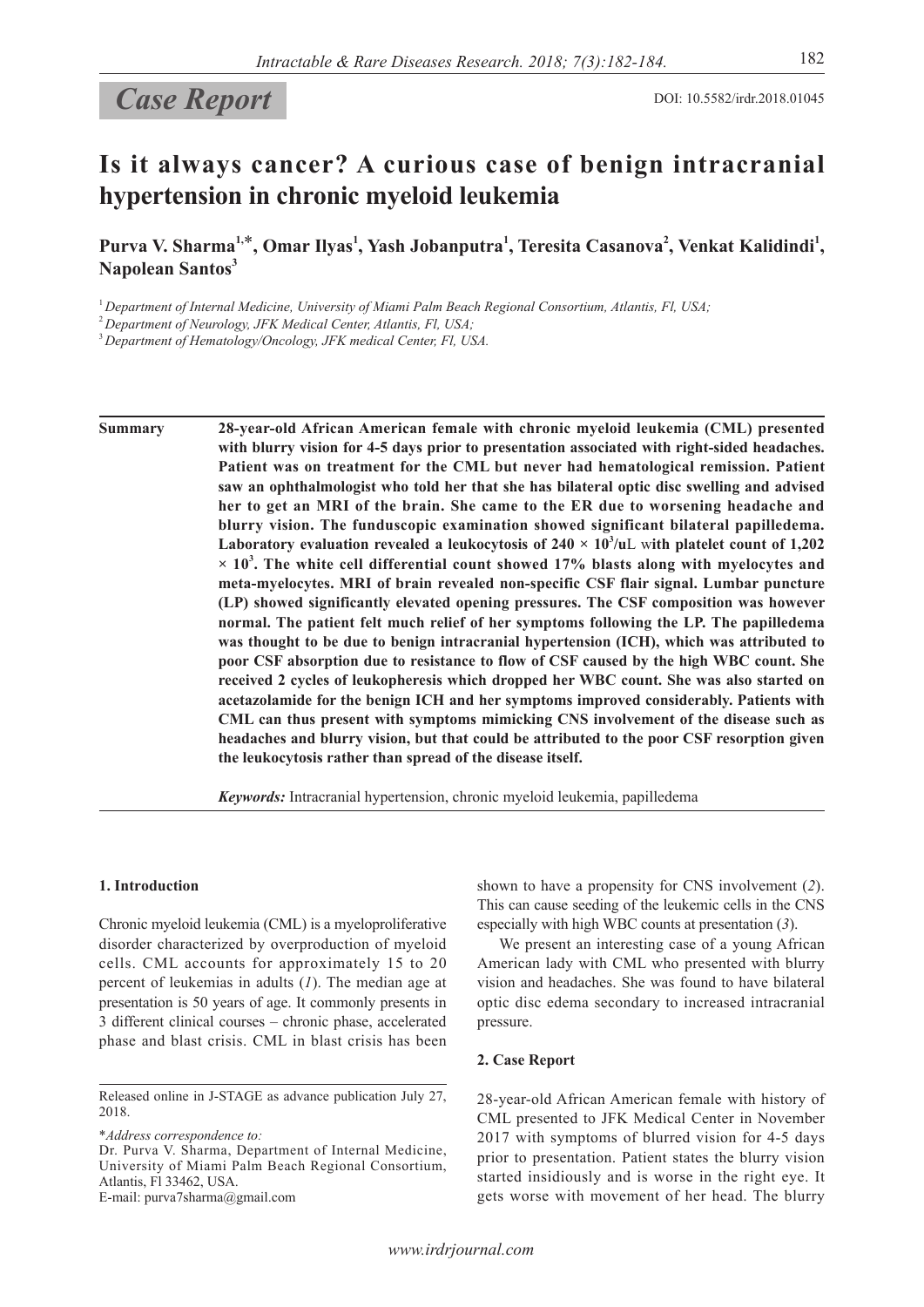# Case Report DOI: 10.5582/irdr.2018.01045

## **Is it always cancer? A curious case of benign intracranial hypertension in chronic myeloid leukemia**

Purva V. Sharma<sup>1,\*</sup>, Omar Ilyas<sup>1</sup>, Yash Jobanputra<sup>1</sup>, Teresita Casanova<sup>2</sup>, Venkat Kalidindi<sup>1</sup>, **Napolean Santos<sup>3</sup>**

<sup>1</sup>*Department of Internal Medicine, University of Miami Palm Beach Regional Consortium, Atlantis, Fl, USA;*

<sup>2</sup>*Department of Neurology, JFK Medical Center, Atlantis, Fl, USA;*

<sup>3</sup>*Department of Hematology/Oncology, JFK medical Center, Fl, USA.*

**Summary 28-year-old African American female with chronic myeloid leukemia (CML) presented with blurry vision for 4-5 days prior to presentation associated with right-sided headaches. Patient was on treatment for the CML but never had hematological remission. Patient saw an ophthalmologist who told her that she has bilateral optic disc swelling and advised her to get an MRI of the brain. She came to the ER due to worsening headache and blurry vision. The funduscopic examination showed significant bilateral papilledema.**  Laboratory evaluation revealed a leukocytosis of  $240 \times 10^3/\text{uL}$  with platelet count of 1,202 **× 10<sup>3</sup> . The white cell differential count showed 17% blasts along with myelocytes and meta-myelocytes. MRI of brain revealed non-specific CSF flair signal. Lumbar puncture (LP) showed significantly elevated opening pressures. The CSF composition was however normal. The patient felt much relief of her symptoms following the LP. The papilledema was thought to be due to benign intracranial hypertension (ICH), which was attributed to poor CSF absorption due to resistance to flow of CSF caused by the high WBC count. She received 2 cycles of leukopheresis which dropped her WBC count. She was also started on acetazolamide for the benign ICH and her symptoms improved considerably. Patients with CML can thus present with symptoms mimicking CNS involvement of the disease such as headaches and blurry vision, but that could be attributed to the poor CSF resorption given the leukocytosis rather than spread of the disease itself.**

*Keywords:* Intracranial hypertension, chronic myeloid leukemia, papilledema

#### **1. Introduction**

Chronic myeloid leukemia (CML) is a myeloproliferative disorder characterized by overproduction of myeloid cells. CML accounts for approximately 15 to 20 percent of leukemias in adults (*1*). The median age at presentation is 50 years of age. It commonly presents in 3 different clinical courses – chronic phase, accelerated phase and blast crisis. CML in blast crisis has been

\**Address correspondence to:*

Dr. Purva V. Sharma, Department of Internal Medicine, University of Miami Palm Beach Regional Consortium, Atlantis, Fl 33462, USA.

E-mail: purva7sharma@gmail.com

American lady with CML who presented with blurry vision and headaches. She was found to have bilateral optic disc edema secondary to increased intracranial

shown to have a propensity for CNS involvement (*2*). This can cause seeding of the leukemic cells in the CNS especially with high WBC counts at presentation (*3*). We present an interesting case of a young African

#### **2. Case Report**

pressure.

28-year-old African American female with history of CML presented to JFK Medical Center in November 2017 with symptoms of blurred vision for 4-5 days prior to presentation. Patient states the blurry vision started insidiously and is worse in the right eye. It gets worse with movement of her head. The blurry

Released online in J-STAGE as advance publication July 27, 2018.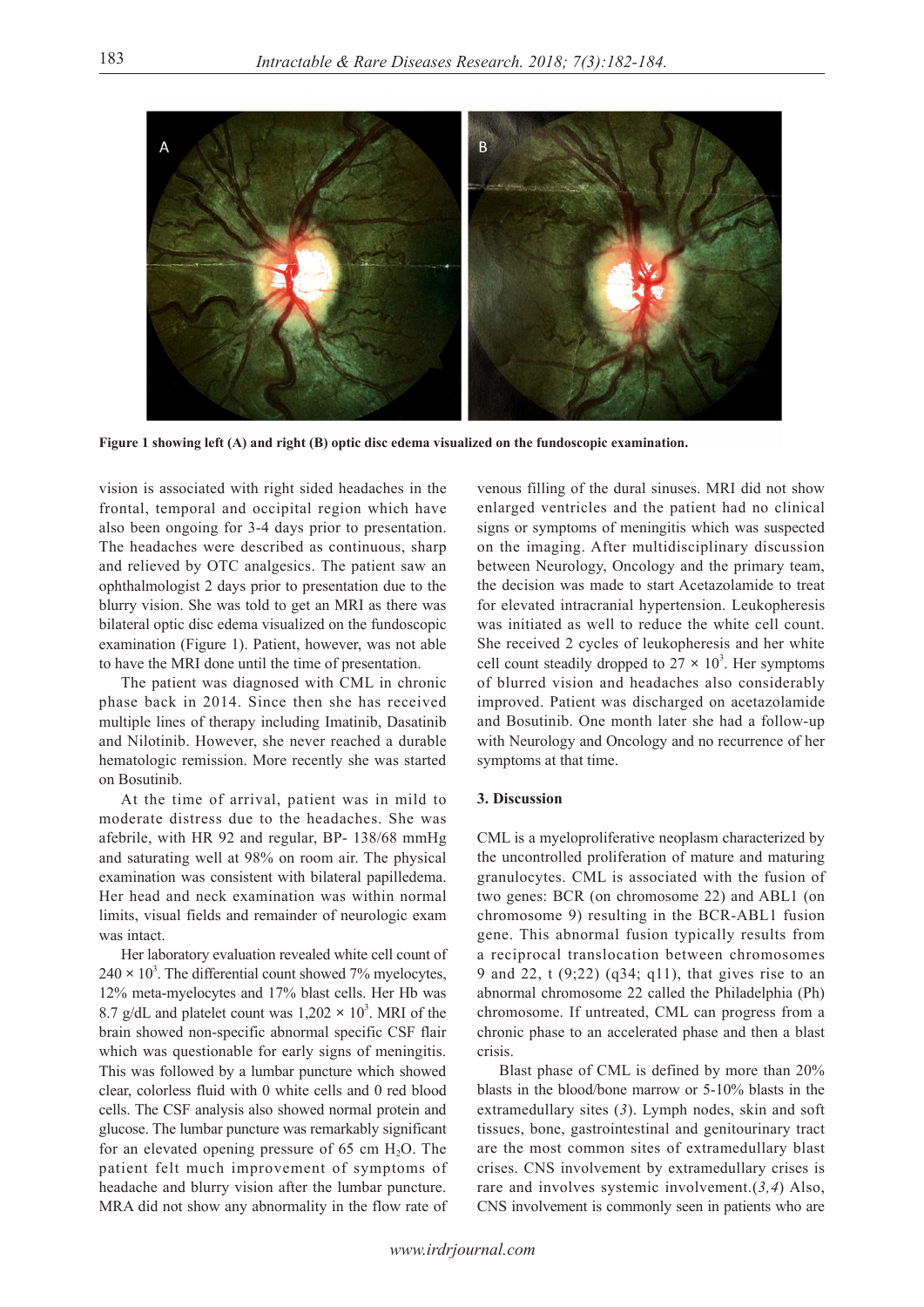

**Figure 1 showing left (A) and right (B) optic disc edema visualized on the fundoscopic examination.**

vision is associated with right sided headaches in the frontal, temporal and occipital region which have also been ongoing for 3-4 days prior to presentation. The headaches were described as continuous, sharp and relieved by OTC analgesics. The patient saw an ophthalmologist 2 days prior to presentation due to the blurry vision. She was told to get an MRI as there was bilateral optic disc edema visualized on the fundoscopic examination (Figure 1). Patient, however, was not able to have the MRI done until the time of presentation.

The patient was diagnosed with CML in chronic phase back in 2014. Since then she has received multiple lines of therapy including Imatinib, Dasatinib and Nilotinib. However, she never reached a durable hematologic remission. More recently she was started on Bosutinib.

At the time of arrival, patient was in mild to moderate distress due to the headaches. She was afebrile, with HR 92 and regular, BP- 138/68 mmHg and saturating well at 98% on room air. The physical examination was consistent with bilateral papilledema. Her head and neck examination was within normal limits, visual fields and remainder of neurologic exam was intact.

Her laboratory evaluation revealed white cell count of  $240 \times 10^3$ . The differential count showed 7% myelocytes, 12% meta-myelocytes and 17% blast cells. Her Hb was 8.7 g/dL and platelet count was  $1,202 \times 10^3$ . MRI of the brain showed non-specific abnormal specific CSF flair which was questionable for early signs of meningitis. This was followed by a lumbar puncture which showed clear, colorless fluid with 0 white cells and 0 red blood cells. The CSF analysis also showed normal protein and glucose. The lumbar puncture was remarkably significant for an elevated opening pressure of  $65 \text{ cm H}_2\text{O}$ . The patient felt much improvement of symptoms of headache and blurry vision after the lumbar puncture. MRA did not show any abnormality in the flow rate of

venous filling of the dural sinuses. MRI did not show enlarged ventricles and the patient had no clinical signs or symptoms of meningitis which was suspected on the imaging. After multidisciplinary discussion between Neurology, Oncology and the primary team, the decision was made to start Acetazolamide to treat for elevated intracranial hypertension. Leukopheresis was initiated as well to reduce the white cell count. She received 2 cycles of leukopheresis and her white cell count steadily dropped to  $27 \times 10^3$ . Her symptoms of blurred vision and headaches also considerably improved. Patient was discharged on acetazolamide and Bosutinib. One month later she had a follow-up with Neurology and Oncology and no recurrence of her symptoms at that time.

### **3. Discussion**

CML is a myeloproliferative neoplasm characterized by the uncontrolled proliferation of mature and maturing granulocytes. CML is associated with the fusion of two genes: BCR (on chromosome 22) and ABL1 (on chromosome 9) resulting in the BCR-ABL1 fusion gene. This abnormal fusion typically results from a reciprocal translocation between chromosomes 9 and 22, t (9;22) (q34; q11), that gives rise to an abnormal chromosome 22 called the Philadelphia (Ph) chromosome. If untreated, CML can progress from a chronic phase to an accelerated phase and then a blast crisis.

Blast phase of CML is defined by more than 20% blasts in the blood/bone marrow or 5-10% blasts in the extramedullary sites (*3*). Lymph nodes, skin and soft tissues, bone, gastrointestinal and genitourinary tract are the most common sites of extramedullary blast crises. CNS involvement by extramedullary crises is rare and involves systemic involvement.(*3,4*) Also, CNS involvement is commonly seen in patients who are